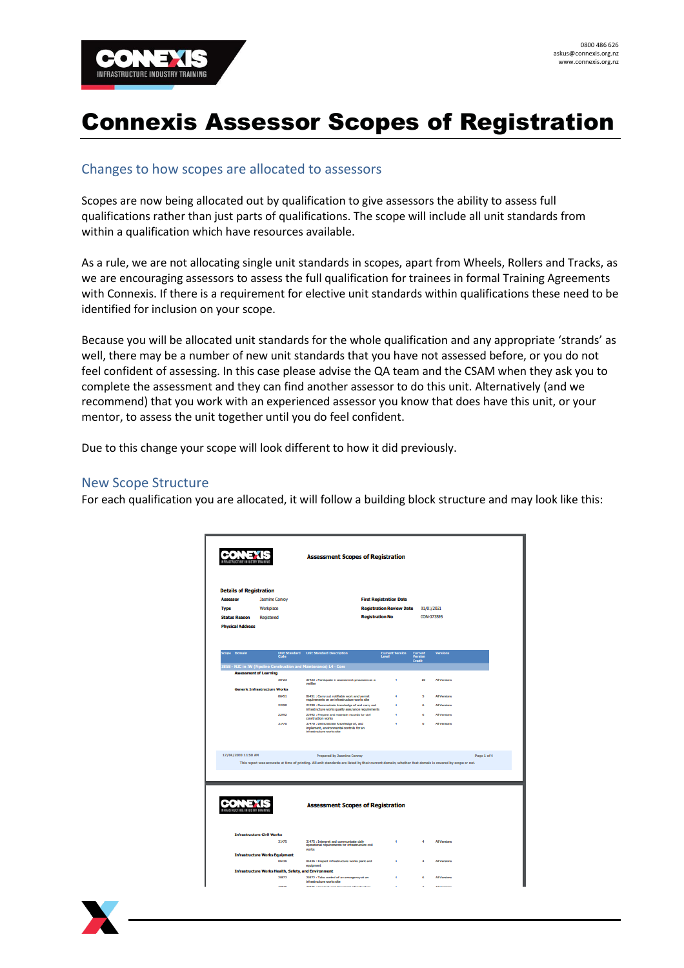

# Connexis Assessor Scopes of Registration

# Changes to how scopes are allocated to assessors

Scopes are now being allocated out by qualification to give assessors the ability to assess full qualifications rather than just parts of qualifications. The scope will include all unit standards from within a qualification which have resources available.

As a rule, we are not allocating single unit standards in scopes, apart from Wheels, Rollers and Tracks, as we are encouraging assessors to assess the full qualification for trainees in formal Training Agreements with Connexis. If there is a requirement for elective unit standards within qualifications these need to be identified for inclusion on your scope.

Because you will be allocated unit standards for the whole qualification and any appropriate 'strands' as well, there may be a number of new unit standards that you have not assessed before, or you do not feel confident of assessing. In this case please advise the QA team and the CSAM when they ask you to complete the assessment and they can find another assessor to do this unit. Alternatively (and we recommend) that you work with an experienced assessor you know that does have this unit, or your mentor, to assess the unit together until you do feel confident.

Due to this change your scope will look different to how it did previously.

### New Scope Structure

For each qualification you are allocated, it will follow a building block structure and may look like this:

|                                  |                                                                   | <b>Assessment Scopes of Registration</b>                                                                                                                                                  |                                 |                           |                     |             |
|----------------------------------|-------------------------------------------------------------------|-------------------------------------------------------------------------------------------------------------------------------------------------------------------------------------------|---------------------------------|---------------------------|---------------------|-------------|
| <b>Details of Registration</b>   |                                                                   |                                                                                                                                                                                           |                                 |                           |                     |             |
| <b>Assessor</b>                  | <b>Jasmine Conroy</b>                                             |                                                                                                                                                                                           | <b>First Registration Date</b>  |                           |                     |             |
| <b>Type</b>                      | Workplace                                                         |                                                                                                                                                                                           | <b>Registration Review Date</b> | 01/01/2021                |                     |             |
| <b>Status Reason</b>             | Registered                                                        | <b>Registration No</b>                                                                                                                                                                    |                                 | CON-073595                |                     |             |
| <b>Physical Address</b>          |                                                                   |                                                                                                                                                                                           |                                 |                           |                     |             |
| Scope Domain                     |                                                                   | <b>Unit Standard</b> Unit Standard Description<br>Code                                                                                                                                    | <b>Current Version</b><br>Level | <b>Current</b><br>Version | <b>Versions</b>     |             |
|                                  | 858 - NZC in IW (Pipeline Construction and Maintenance) L4 - Core |                                                                                                                                                                                           |                                 | <b>Credit</b>             |                     |             |
|                                  | <b>Assessment of Learning</b>                                     |                                                                                                                                                                                           |                                 |                           |                     |             |
|                                  | 30423                                                             | 30423 : Participate in assessment processes as a<br>verfier                                                                                                                               | 4                               | 10                        | <b>All Versions</b> |             |
|                                  | <b>Generic Infrastructure Works</b>                               |                                                                                                                                                                                           |                                 |                           |                     |             |
|                                  | 06451                                                             | 05451 : Carry out notifiable work and permit<br>requirements on an infrastructure works site                                                                                              | ٠                               | 5                         | <b>All Versions</b> |             |
|                                  | 22290                                                             | 22290 : Demonstrate knowledge of and carry cut<br>infrastructure works quality assurance requirements                                                                                     | ٠                               | ø.                        | <b>All Versions</b> |             |
|                                  | 22992                                                             | 22992 : Prepare and maintain records for civil<br>construction works                                                                                                                      | ×                               | a.                        | <b>All Versions</b> |             |
|                                  | 31470                                                             | 31470 : Demonstrate knowledge of, and<br>implement, environmental controls for an<br>infrastructure works site                                                                            | ٠                               | đ.                        | <b>All Versions</b> |             |
| 17/04/2020 11:50 AM              |                                                                   | <b>Prepared by Jasmine Conroy</b><br>This report was accurate at time of printing. All unit standards are listed by their current domain, whether that domain is covered by scope or not. |                                 |                           |                     | Page 1 of 4 |
|                                  |                                                                   |                                                                                                                                                                                           |                                 |                           |                     |             |
|                                  |                                                                   |                                                                                                                                                                                           |                                 |                           |                     |             |
| <b><i>MSTRUCTURE INDUSTR</i></b> |                                                                   | <b>Assessment Scopes of Registration</b>                                                                                                                                                  |                                 |                           |                     |             |
|                                  | <b>Infrastructure Civil Works</b>                                 |                                                                                                                                                                                           |                                 |                           |                     |             |
|                                  | 31475                                                             | 31475 : Interpret and communicate daily<br>operational requirements for infrastructure civil                                                                                              | 4                               | 4                         | <b>All Versions</b> |             |
|                                  | <b>Infrastructure Works Equipment</b>                             | works                                                                                                                                                                                     |                                 |                           |                     |             |
|                                  | 06436                                                             | 05435 : Impect infrastructure works plant and                                                                                                                                             | ٠                               | $\overline{a}$            | <b>All Versions</b> |             |
|                                  | <b>Infrastructure Works Health, Safety, and Environment</b>       | equipment                                                                                                                                                                                 |                                 |                           |                     |             |

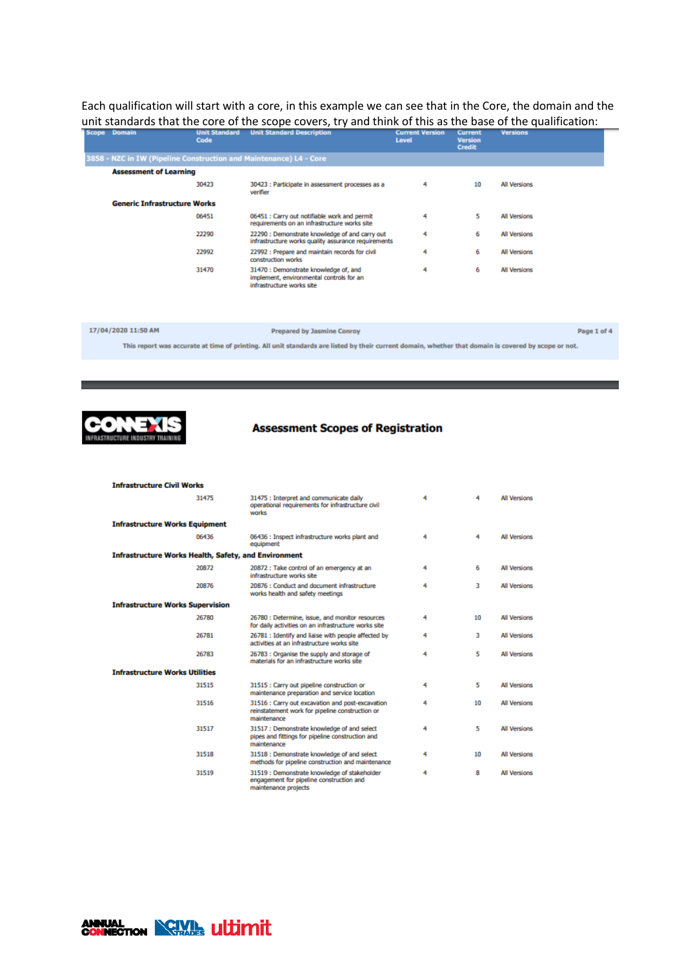Each qualification will start with a core, in this example we can see that in the Core, the domain and the unit standards that the core of the scope covers, try and think of this as the base of the qualification:

| Scope Domain | Code                                                               | <b>Unit Standard</b> Unit Standard Description                                                                 | <b>Current Version</b><br>Level | <b>Current</b><br><b>Version</b><br><b>Credit</b> | <b>Versions</b>     |
|--------------|--------------------------------------------------------------------|----------------------------------------------------------------------------------------------------------------|---------------------------------|---------------------------------------------------|---------------------|
|              | 3858 - NZC in IW (Pipeline Construction and Maintenance) L4 - Core |                                                                                                                |                                 |                                                   |                     |
|              | <b>Assessment of Learning</b>                                      |                                                                                                                |                                 |                                                   |                     |
|              | 30423                                                              | 30423 : Participate in assessment processes as a<br>verifier                                                   | 4                               | 10                                                | <b>All Versions</b> |
|              | <b>Generic Infrastructure Works</b>                                |                                                                                                                |                                 |                                                   |                     |
|              | 06451                                                              | 06451 : Carry out notifiable work and permit<br>requirements on an infrastructure works site                   | 4                               | 5                                                 | <b>All Versions</b> |
|              | 22290                                                              | 22290 : Demonstrate knowledge of and carry out<br>infrastructure works quality assurance requirements          | 4                               | 6                                                 | <b>All Versions</b> |
|              | 22992                                                              | 22992 : Prepare and maintain records for civil<br>construction works                                           | 4                               | 6                                                 | <b>All Versions</b> |
|              | 31470                                                              | 31470 : Demonstrate knowledge of, and<br>implement, environmental controls for an<br>infrastructure works site | 4                               | 6                                                 | <b>All Versions</b> |

Page 1 of 4 17/04/2020 11:50 AM **Prepared by Jasmine Conroy** 

This report was accurate at time of printing. All unit standards are listed by their current domain, whether that domain is covered by scope or not.



## **Assessment Scopes of Registration**

| <b>Infrastructure Civil Works</b>                           |       |                                                                                                                    |   |    |                     |  |  |
|-------------------------------------------------------------|-------|--------------------------------------------------------------------------------------------------------------------|---|----|---------------------|--|--|
|                                                             | 31475 | 31475 : Interpret and communicate daily<br>operational requirements for infrastructure civil<br>works              | 4 | 4  | <b>All Versions</b> |  |  |
| <b>Infrastructure Works Equipment</b>                       |       |                                                                                                                    |   |    |                     |  |  |
|                                                             | 06436 | 06436 : Inspect infrastructure works plant and<br>equipment                                                        | 4 | 4  | <b>All Versions</b> |  |  |
| <b>Infrastructure Works Health, Safety, and Environment</b> |       |                                                                                                                    |   |    |                     |  |  |
|                                                             | 20872 | 20872 : Take control of an emergency at an<br>infrastructure works site                                            | 4 | 6  | <b>All Versions</b> |  |  |
|                                                             | 20876 | 20876 : Conduct and document infrastructure<br>works health and safety meetings                                    | 4 | 3  | <b>All Versions</b> |  |  |
| <b>Infrastructure Works Supervision</b>                     |       |                                                                                                                    |   |    |                     |  |  |
|                                                             | 26780 | 26780 : Determine, issue, and monitor resources<br>for daily activities on an infrastructure works site            | 4 | 10 | <b>All Versions</b> |  |  |
|                                                             | 26781 | 26781 : Identify and liaise with people affected by<br>activities at an infrastructure works site                  | 4 | 3  | <b>All Versions</b> |  |  |
|                                                             | 26783 | 26783 : Organise the supply and storage of<br>materials for an infrastructure works site                           | 4 | 5  | <b>All Versions</b> |  |  |
| <b>Infrastructure Works Utilities</b>                       |       |                                                                                                                    |   |    |                     |  |  |
|                                                             | 31515 | 31515 : Carry out pipeline construction or<br>maintenance preparation and service location                         | 4 | 5  | <b>All Versions</b> |  |  |
|                                                             | 31516 | 31516 : Carry out excavation and post-excavation<br>reinstatement work for pipeline construction or<br>maintenance | 4 | 10 | <b>All Versions</b> |  |  |
|                                                             | 31517 | 31517 : Demonstrate knowledge of and select<br>pipes and fittings for pipeline construction and<br>maintenance     | 4 | 5  | <b>All Versions</b> |  |  |
|                                                             | 31518 | 31518 : Demonstrate knowledge of and select<br>methods for pipeline construction and maintenance                   | 4 | 10 | <b>All Versions</b> |  |  |
|                                                             | 31519 | 31519 : Demonstrate knowledge of stakeholder<br>engagement for pipeline construction and<br>maintenance projects   | 4 | 8  | <b>All Versions</b> |  |  |